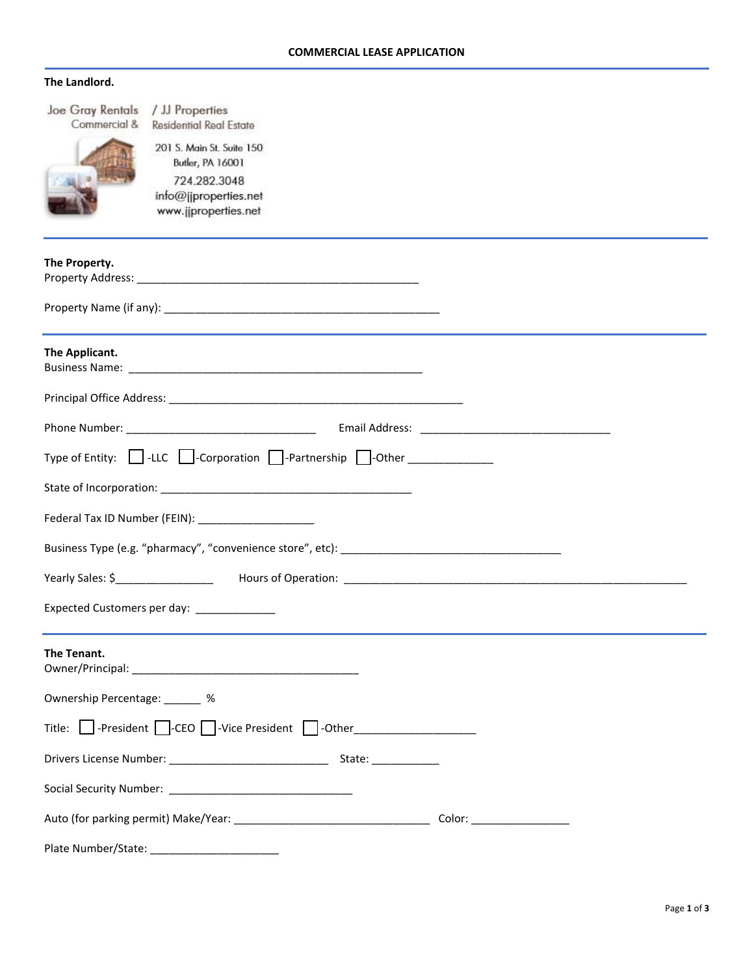## **The Landlord.**

| Joe Gray Rentals / JJ Properties<br>Commercial & | <b>Residential Real Estate</b>                                                                                 |  |  |  |  |
|--------------------------------------------------|----------------------------------------------------------------------------------------------------------------|--|--|--|--|
|                                                  | 201 S. Main St. Suite 150<br>Butler, PA 16001<br>724.282.3048<br>info@jjproperties.net<br>www.jjproperties.net |  |  |  |  |
| The Property.                                    |                                                                                                                |  |  |  |  |
|                                                  |                                                                                                                |  |  |  |  |
| The Applicant.                                   |                                                                                                                |  |  |  |  |
|                                                  |                                                                                                                |  |  |  |  |
|                                                  |                                                                                                                |  |  |  |  |
|                                                  | Type of Entity: $\Box$ -LLC $\Box$ -Corporation $\Box$ -Partnership $\Box$ -Other ___________                  |  |  |  |  |
|                                                  |                                                                                                                |  |  |  |  |
|                                                  | Federal Tax ID Number (FEIN): _______________________                                                          |  |  |  |  |
|                                                  |                                                                                                                |  |  |  |  |
|                                                  |                                                                                                                |  |  |  |  |
| Expected Customers per day:                      |                                                                                                                |  |  |  |  |
| The Tenant.                                      |                                                                                                                |  |  |  |  |
| Ownership Percentage: ______ %                   |                                                                                                                |  |  |  |  |
|                                                  | Title: Separation of the CI-CEO Separation of the CI-Other CI-CI and the CI-CI and Title: Separation of the CI |  |  |  |  |
|                                                  |                                                                                                                |  |  |  |  |
|                                                  |                                                                                                                |  |  |  |  |
| Color: __________________                        |                                                                                                                |  |  |  |  |
| Plate Number/State:                              |                                                                                                                |  |  |  |  |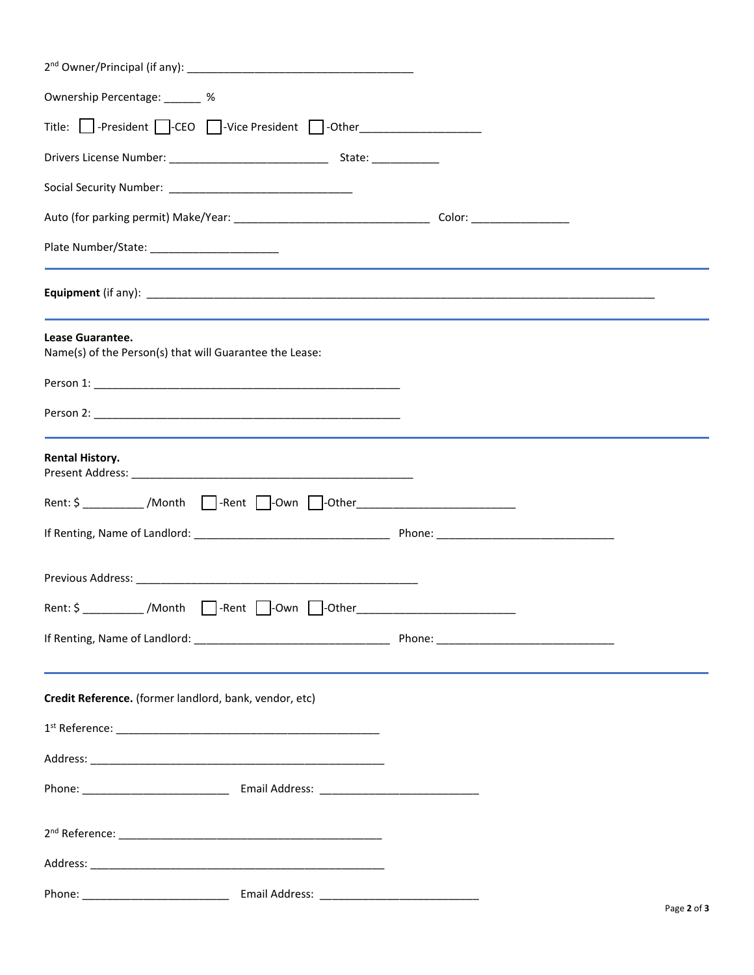| Ownership Percentage: _______ %                                                   |  |  |  |  |  |
|-----------------------------------------------------------------------------------|--|--|--|--|--|
| Title: Superioration: Title: Spresident D-Other                                   |  |  |  |  |  |
|                                                                                   |  |  |  |  |  |
|                                                                                   |  |  |  |  |  |
|                                                                                   |  |  |  |  |  |
|                                                                                   |  |  |  |  |  |
|                                                                                   |  |  |  |  |  |
| Lease Guarantee.<br>Name(s) of the Person(s) that will Guarantee the Lease:       |  |  |  |  |  |
|                                                                                   |  |  |  |  |  |
|                                                                                   |  |  |  |  |  |
| <b>Rental History.</b>                                                            |  |  |  |  |  |
| Rent: \$ ___________ /Month   ____-Rent   ___-Own   ___-Other____________________ |  |  |  |  |  |
|                                                                                   |  |  |  |  |  |
|                                                                                   |  |  |  |  |  |
| Rent   -Own   -Other<br>/Month<br>Rent: \$                                        |  |  |  |  |  |
|                                                                                   |  |  |  |  |  |
| Credit Reference. (former landlord, bank, vendor, etc)                            |  |  |  |  |  |
|                                                                                   |  |  |  |  |  |
|                                                                                   |  |  |  |  |  |
|                                                                                   |  |  |  |  |  |
|                                                                                   |  |  |  |  |  |
|                                                                                   |  |  |  |  |  |
|                                                                                   |  |  |  |  |  |